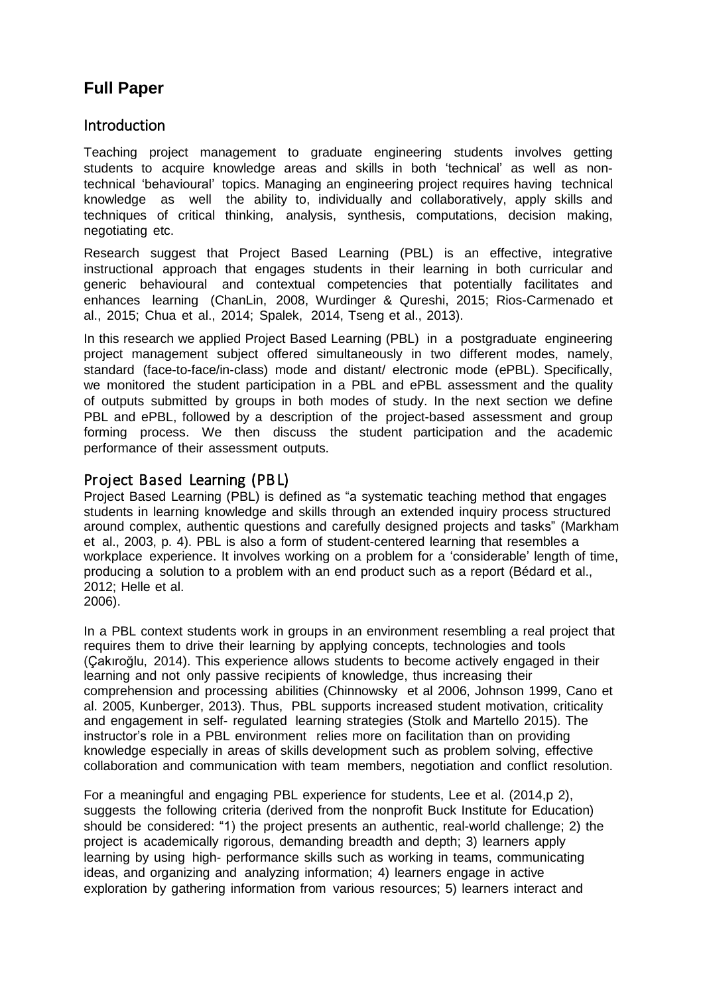# **Full Paper**

## **Introduction**

Teaching project management to graduate engineering students involves getting students to acquire knowledge areas and skills in both 'technical' as well as nontechnical 'behavioural' topics. Managing an engineering project requires having technical knowledge as well the ability to, individually and collaboratively, apply skills and techniques of critical thinking, analysis, synthesis, computations, decision making, negotiating etc.

Research suggest that Project Based Learning (PBL) is an effective, integrative instructional approach that engages students in their learning in both curricular and generic behavioural and contextual competencies that potentially facilitates and enhances learning (ChanLin, 2008, Wurdinger & Qureshi, 2015; Rios-Carmenado et al., 2015; Chua et al., 2014; Spalek, 2014, Tseng et al., 2013).

In this research we applied Project Based Learning (PBL) in a postgraduate engineering project management subject offered simultaneously in two different modes, namely, standard (face-to-face/in-class) mode and distant/ electronic mode (ePBL). Specifically, we monitored the student participation in a PBL and ePBL assessment and the quality of outputs submitted by groups in both modes of study. In the next section we define PBL and ePBL, followed by a description of the project-based assessment and group forming process. We then discuss the student participation and the academic performance of their assessment outputs.

# Project Based Learning (PBL)

Project Based Learning (PBL) is defined as "a systematic teaching method that engages students in learning knowledge and skills through an extended inquiry process structured around complex, authentic questions and carefully designed projects and tasks" (Markham et al., 2003, p. 4). PBL is also a form of student-centered learning that resembles a workplace experience. It involves working on a problem for a 'considerable' length of time, producing a solution to a problem with an end product such as a report (Bédard et al., 2012; Helle et al.

In a PBL context students work in groups in an environment resembling a real project that requires them to drive their learning by applying concepts, technologies and tools (Çakıroğlu, 2014). This experience allows students to become actively engaged in their learning and not only passive recipients of knowledge, thus increasing their comprehension and processing abilities (Chinnowsky et al 2006, Johnson 1999, Cano et al. 2005, Kunberger, 2013). Thus, PBL supports increased student motivation, criticality and engagement in self- regulated learning strategies (Stolk and Martello 2015). The instructor's role in a PBL environment relies more on facilitation than on providing knowledge especially in areas of skills development such as problem solving, effective collaboration and communication with team members, negotiation and conflict resolution.

For a meaningful and engaging PBL experience for students, Lee et al. (2014,p 2), suggests the following criteria (derived from the nonprofit Buck Institute for Education) should be considered: "1) the project presents an authentic, real-world challenge; 2) the project is academically rigorous, demanding breadth and depth; 3) learners apply learning by using high- performance skills such as working in teams, communicating ideas, and organizing and analyzing information; 4) learners engage in active exploration by gathering information from various resources; 5) learners interact and

<sup>2006).</sup>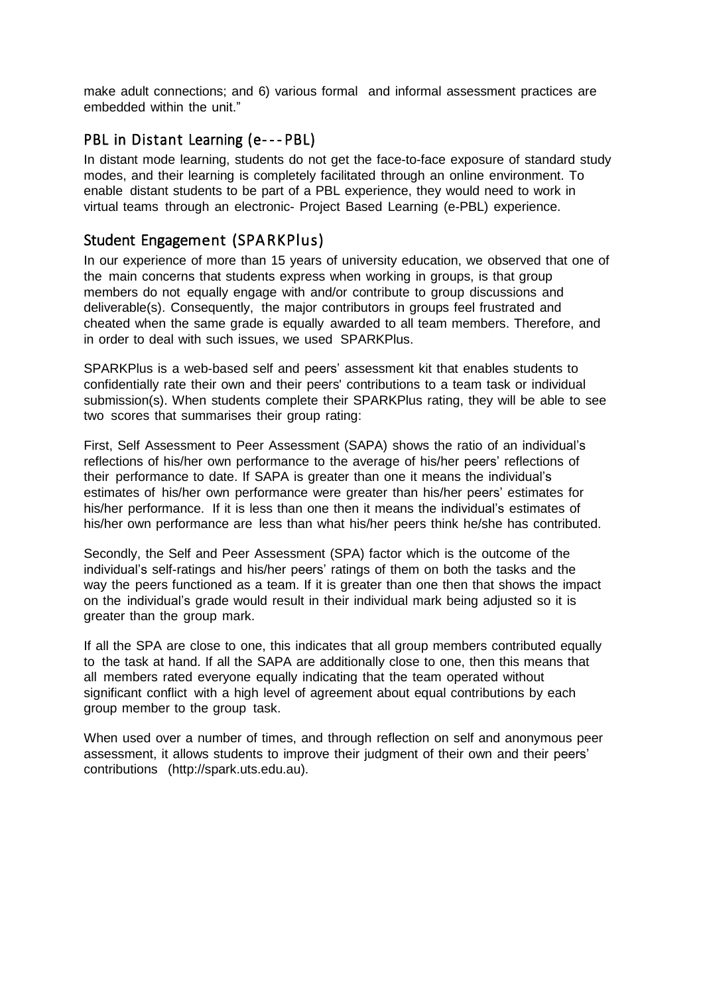make adult connections; and 6) various formal and informal assessment practices are embedded within the unit."

## PBL in Distant Learning (e---PBL)

In distant mode learning, students do not get the face-to-face exposure of standard study modes, and their learning is completely facilitated through an online environment. To enable distant students to be part of a PBL experience, they would need to work in virtual teams through an electronic- Project Based Learning (e-PBL) experience.

# Student Engagement (SPARKPlus)

In our experience of more than 15 years of university education, we observed that one of the main concerns that students express when working in groups, is that group members do not equally engage with and/or contribute to group discussions and deliverable(s). Consequently, the major contributors in groups feel frustrated and cheated when the same grade is equally awarded to all team members. Therefore, and in order to deal with such issues, we used SPARKPlus.

SPARKPlus is a web-based self and peers' assessment kit that enables students to confidentially rate their own and their peers' contributions to a team task or individual submission(s). When students complete their SPARKPlus rating, they will be able to see two scores that summarises their group rating:

First, Self Assessment to Peer Assessment (SAPA) shows the ratio of an individual's reflections of his/her own performance to the average of his/her peers' reflections of their performance to date. If SAPA is greater than one it means the individual's estimates of his/her own performance were greater than his/her peers' estimates for his/her performance. If it is less than one then it means the individual's estimates of his/her own performance are less than what his/her peers think he/she has contributed.

Secondly, the Self and Peer Assessment (SPA) factor which is the outcome of the individual's self-ratings and his/her peers' ratings of them on both the tasks and the way the peers functioned as a team. If it is greater than one then that shows the impact on the individual's grade would result in their individual mark being adjusted so it is greater than the group mark.

If all the SPA are close to one, this indicates that all group members contributed equally to the task at hand. If all the SAPA are additionally close to one, then this means that all members rated everyone equally indicating that the team operated without significant conflict with a high level of agreement about equal contributions by each group member to the group task.

When used over a number of times, and through reflection on self and anonymous peer assessment, it allows students to improve their judgment of their own and their peers' contributions (http://spark.uts.edu.au).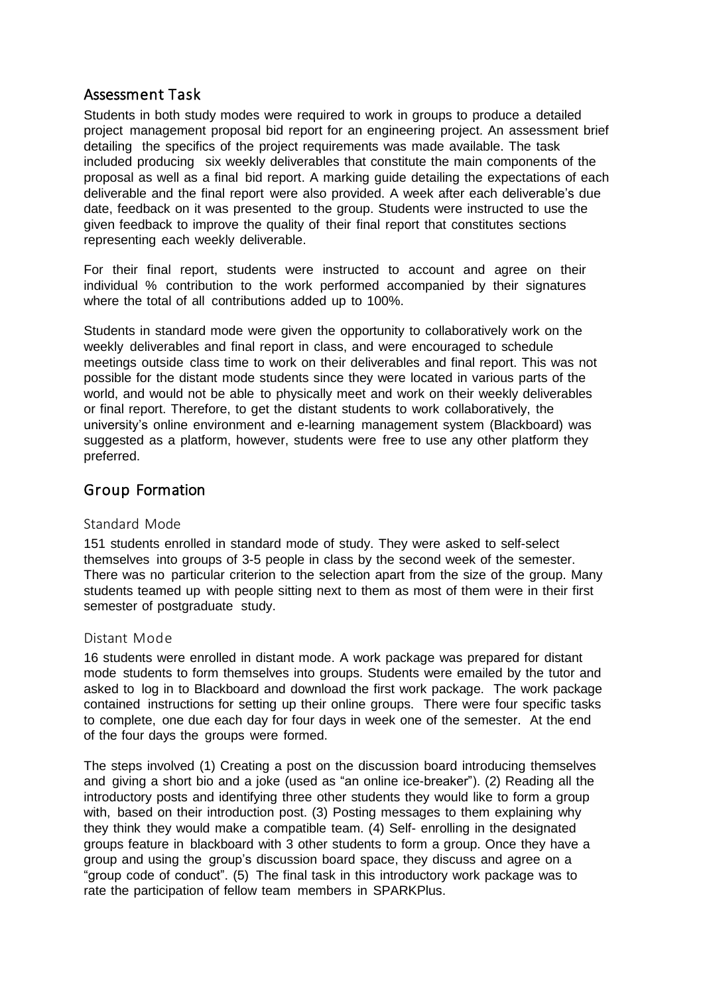### Assessm ent Task

Students in both study modes were required to work in groups to produce a detailed project management proposal bid report for an engineering project. An assessment brief detailing the specifics of the project requirements was made available. The task included producing six weekly deliverables that constitute the main components of the proposal as well as a final bid report. A marking guide detailing the expectations of each deliverable and the final report were also provided. A week after each deliverable's due date, feedback on it was presented to the group. Students were instructed to use the given feedback to improve the quality of their final report that constitutes sections representing each weekly deliverable.

For their final report, students were instructed to account and agree on their individual % contribution to the work performed accompanied by their signatures where the total of all contributions added up to 100%.

Students in standard mode were given the opportunity to collaboratively work on the weekly deliverables and final report in class, and were encouraged to schedule meetings outside class time to work on their deliverables and final report. This was not possible for the distant mode students since they were located in various parts of the world, and would not be able to physically meet and work on their weekly deliverables or final report. Therefore, to get the distant students to work collaboratively, the university's online environment and e-learning management system (Blackboard) was suggested as a platform, however, students were free to use any other platform they preferred.

## Group Form ation

#### Standard Mode

151 students enrolled in standard mode of study. They were asked to self-select themselves into groups of 3-5 people in class by the second week of the semester. There was no particular criterion to the selection apart from the size of the group. Many students teamed up with people sitting next to them as most of them were in their first semester of postgraduate study.

#### Distant Mode

16 students were enrolled in distant mode. A work package was prepared for distant mode students to form themselves into groups. Students were emailed by the tutor and asked to log in to Blackboard and download the first work package. The work package contained instructions for setting up their online groups. There were four specific tasks to complete, one due each day for four days in week one of the semester. At the end of the four days the groups were formed.

The steps involved (1) Creating a post on the discussion board introducing themselves and giving a short bio and a joke (used as "an online ice-breaker"). (2) Reading all the introductory posts and identifying three other students they would like to form a group with, based on their introduction post. (3) Posting messages to them explaining why they think they would make a compatible team. (4) Self- enrolling in the designated groups feature in blackboard with 3 other students to form a group. Once they have a group and using the group's discussion board space, they discuss and agree on a "group code of conduct". (5) The final task in this introductory work package was to rate the participation of fellow team members in SPARKPlus.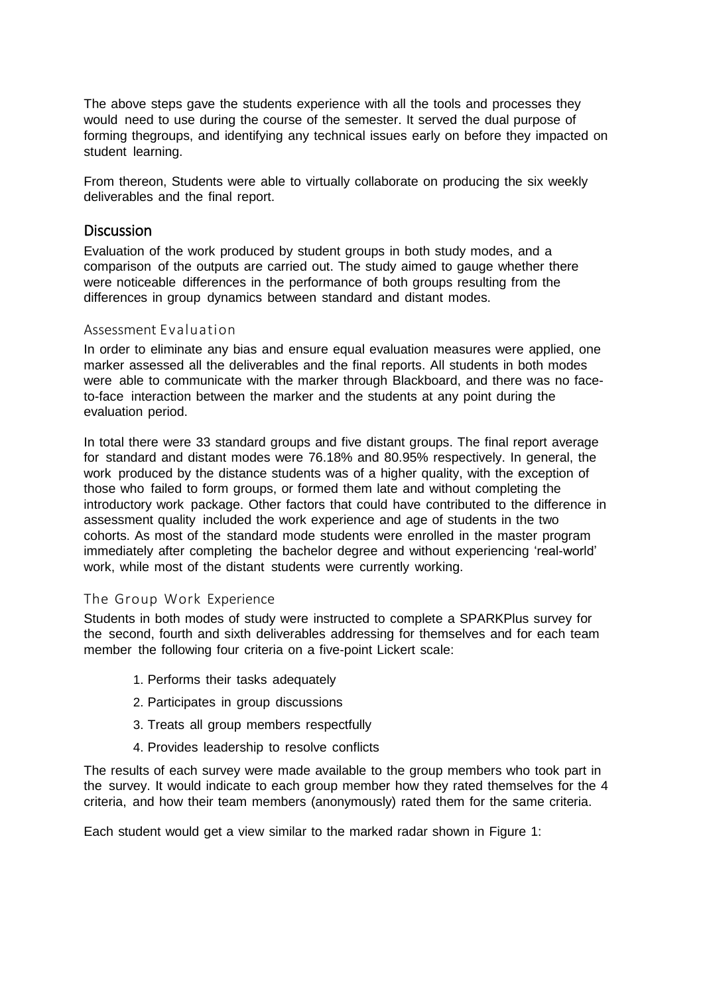The above steps gave the students experience with all the tools and processes they would need to use during the course of the semester. It served the dual purpose of forming thegroups, and identifying any technical issues early on before they impacted on student learning.

From thereon, Students were able to virtually collaborate on producing the six weekly deliverables and the final report.

#### **Discussion**

Evaluation of the work produced by student groups in both study modes, and a comparison of the outputs are carried out. The study aimed to gauge whether there were noticeable differences in the performance of both groups resulting from the differences in group dynamics between standard and distant modes.

#### Assessment Evaluation

In order to eliminate any bias and ensure equal evaluation measures were applied, one marker assessed all the deliverables and the final reports. All students in both modes were able to communicate with the marker through Blackboard, and there was no faceto-face interaction between the marker and the students at any point during the evaluation period.

In total there were 33 standard groups and five distant groups. The final report average for standard and distant modes were 76.18% and 80.95% respectively. In general, the work produced by the distance students was of a higher quality, with the exception of those who failed to form groups, or formed them late and without completing the introductory work package. Other factors that could have contributed to the difference in assessment quality included the work experience and age of students in the two cohorts. As most of the standard mode students were enrolled in the master program immediately after completing the bachelor degree and without experiencing 'real-world' work, while most of the distant students were currently working.

#### The Group Work Experience

Students in both modes of study were instructed to complete a SPARKPlus survey for the second, fourth and sixth deliverables addressing for themselves and for each team member the following four criteria on a five-point Lickert scale:

- 1. Performs their tasks adequately
- 2. Participates in group discussions
- 3. Treats all group members respectfully
- 4. Provides leadership to resolve conflicts

The results of each survey were made available to the group members who took part in the survey. It would indicate to each group member how they rated themselves for the 4 criteria, and how their team members (anonymously) rated them for the same criteria.

Each student would get a view similar to the marked radar shown in Figure 1: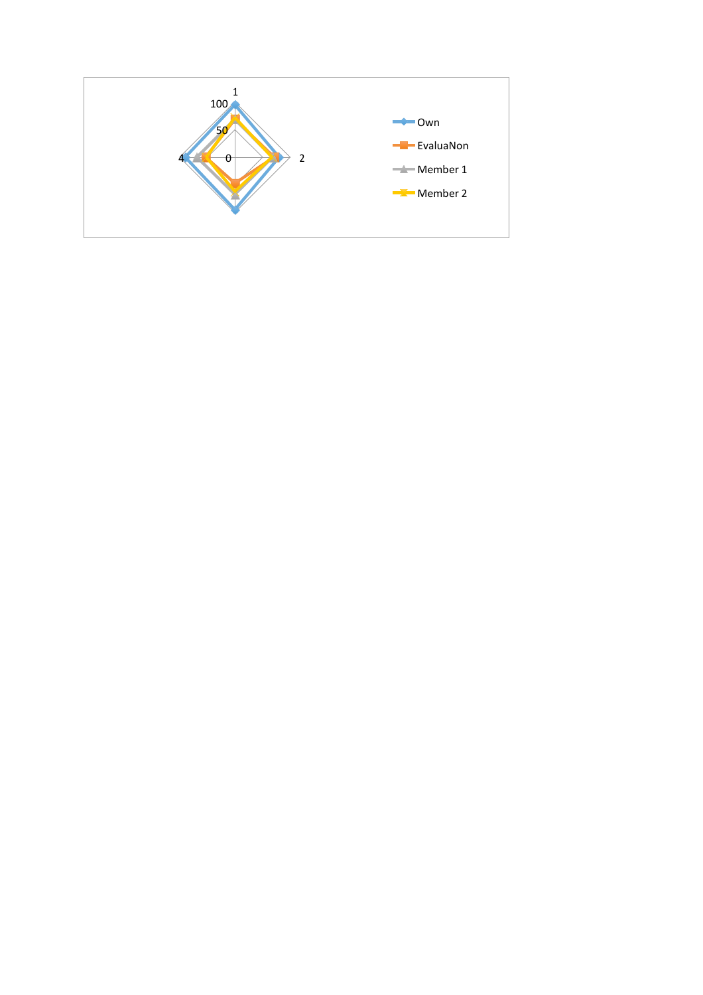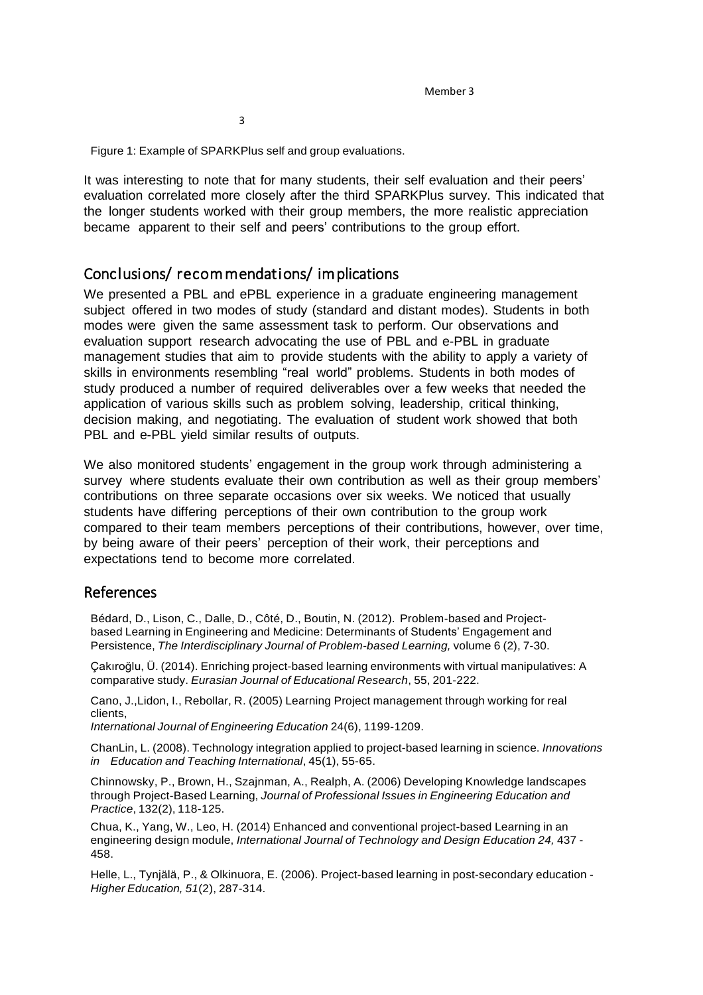Member 3

3

Figure 1: Example of SPARKPlus self and group evaluations.

It was interesting to note that for many students, their self evaluation and their peers' evaluation correlated more closely after the third SPARKPlus survey. This indicated that the longer students worked with their group members, the more realistic appreciation became apparent to their self and peers' contributions to the group effort.

### Conclusions/ recommendations/ implications

We presented a PBL and ePBL experience in a graduate engineering management subject offered in two modes of study (standard and distant modes). Students in both modes were given the same assessment task to perform. Our observations and evaluation support research advocating the use of PBL and e-PBL in graduate management studies that aim to provide students with the ability to apply a variety of skills in environments resembling "real world" problems. Students in both modes of study produced a number of required deliverables over a few weeks that needed the application of various skills such as problem solving, leadership, critical thinking, decision making, and negotiating. The evaluation of student work showed that both PBL and e-PBL yield similar results of outputs.

We also monitored students' engagement in the group work through administering a survey where students evaluate their own contribution as well as their group members' contributions on three separate occasions over six weeks. We noticed that usually students have differing perceptions of their own contribution to the group work compared to their team members perceptions of their contributions, however, over time, by being aware of their peers' perception of their work, their perceptions and expectations tend to become more correlated.

### References

Bédard, D., Lison, C., Dalle, D., Côté, D., Boutin, N. (2012). Problem-based and Projectbased Learning in Engineering and Medicine: Determinants of Students' Engagement and Persistence, *The Interdisciplinary Journal of Problem-based Learning,* volume 6 (2), 7-30.

Çakıroğlu, Ü. (2014). Enriching project-based learning environments with virtual manipulatives: A comparative study. *Eurasian Journal of Educational Research*, 55, 201-222.

Cano, J.,Lidon, I., Rebollar, R. (2005) Learning Project management through working for real clients,

*International Journal of Engineering Education* 24(6), 1199-1209.

ChanLin, L. (2008). Technology integration applied to project-based learning in science. *Innovations in Education and Teaching International*, 45(1), 55-65.

Chinnowsky, P., Brown, H., Szajnman, A., Realph, A. (2006) Developing Knowledge landscapes through Project-Based Learning, *Journal of Professional Issues in Engineering Education and Practice*, 132(2), 118-125.

Chua, K., Yang, W., Leo, H. (2014) Enhanced and conventional project-based Learning in an engineering design module, *International Journal of Technology and Design Education 24,* 437 - 458.

Helle, L., Tynjälä, P., & Olkinuora, E. (2006). Project-based learning in post-secondary education - *Higher Education, 51*(2), 287-314.